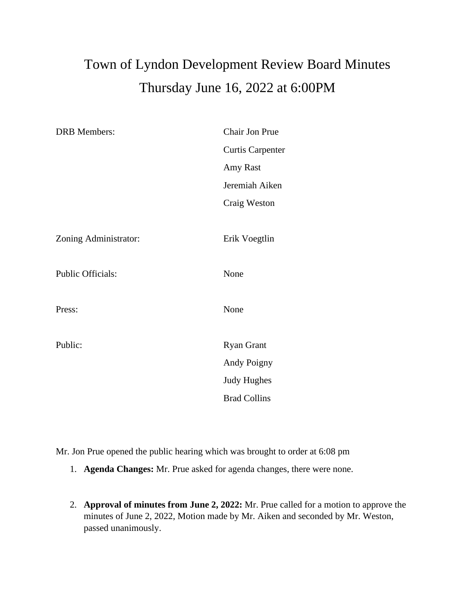## Town of Lyndon Development Review Board Minutes Thursday June 16, 2022 at 6:00PM

| <b>DRB</b> Members:      | Chair Jon Prue          |
|--------------------------|-------------------------|
|                          | <b>Curtis Carpenter</b> |
|                          | Amy Rast                |
|                          | Jeremiah Aiken          |
|                          | Craig Weston            |
|                          |                         |
| Zoning Administrator:    | Erik Voegtlin           |
|                          |                         |
| <b>Public Officials:</b> | None                    |
|                          |                         |
| Press:                   | None                    |
|                          |                         |
| Public:                  | <b>Ryan Grant</b>       |
|                          | Andy Poigny             |
|                          | <b>Judy Hughes</b>      |
|                          | <b>Brad Collins</b>     |
|                          |                         |

Mr. Jon Prue opened the public hearing which was brought to order at 6:08 pm

- 1. **Agenda Changes:** Mr. Prue asked for agenda changes, there were none.
- 2. **Approval of minutes from June 2, 2022:** Mr. Prue called for a motion to approve the minutes of June 2, 2022, Motion made by Mr. Aiken and seconded by Mr. Weston, passed unanimously.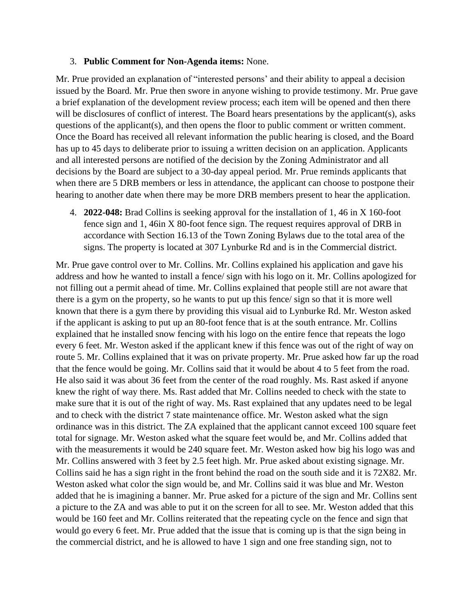## 3. **Public Comment for Non-Agenda items:** None.

Mr. Prue provided an explanation of "interested persons' and their ability to appeal a decision issued by the Board. Mr. Prue then swore in anyone wishing to provide testimony. Mr. Prue gave a brief explanation of the development review process; each item will be opened and then there will be disclosures of conflict of interest. The Board hears presentations by the applicant(s), asks questions of the applicant(s), and then opens the floor to public comment or written comment. Once the Board has received all relevant information the public hearing is closed, and the Board has up to 45 days to deliberate prior to issuing a written decision on an application. Applicants and all interested persons are notified of the decision by the Zoning Administrator and all decisions by the Board are subject to a 30-day appeal period. Mr. Prue reminds applicants that when there are 5 DRB members or less in attendance, the applicant can choose to postpone their hearing to another date when there may be more DRB members present to hear the application.

4. **2022-048:** Brad Collins is seeking approval for the installation of 1, 46 in X 160-foot fence sign and 1, 46in X 80-foot fence sign. The request requires approval of DRB in accordance with Section 16.13 of the Town Zoning Bylaws due to the total area of the signs. The property is located at 307 Lynburke Rd and is in the Commercial district.

Mr. Prue gave control over to Mr. Collins. Mr. Collins explained his application and gave his address and how he wanted to install a fence/ sign with his logo on it. Mr. Collins apologized for not filling out a permit ahead of time. Mr. Collins explained that people still are not aware that there is a gym on the property, so he wants to put up this fence/ sign so that it is more well known that there is a gym there by providing this visual aid to Lynburke Rd. Mr. Weston asked if the applicant is asking to put up an 80-foot fence that is at the south entrance. Mr. Collins explained that he installed snow fencing with his logo on the entire fence that repeats the logo every 6 feet. Mr. Weston asked if the applicant knew if this fence was out of the right of way on route 5. Mr. Collins explained that it was on private property. Mr. Prue asked how far up the road that the fence would be going. Mr. Collins said that it would be about 4 to 5 feet from the road. He also said it was about 36 feet from the center of the road roughly. Ms. Rast asked if anyone knew the right of way there. Ms. Rast added that Mr. Collins needed to check with the state to make sure that it is out of the right of way. Ms. Rast explained that any updates need to be legal and to check with the district 7 state maintenance office. Mr. Weston asked what the sign ordinance was in this district. The ZA explained that the applicant cannot exceed 100 square feet total for signage. Mr. Weston asked what the square feet would be, and Mr. Collins added that with the measurements it would be 240 square feet. Mr. Weston asked how big his logo was and Mr. Collins answered with 3 feet by 2.5 feet high. Mr. Prue asked about existing signage. Mr. Collins said he has a sign right in the front behind the road on the south side and it is 72X82. Mr. Weston asked what color the sign would be, and Mr. Collins said it was blue and Mr. Weston added that he is imagining a banner. Mr. Prue asked for a picture of the sign and Mr. Collins sent a picture to the ZA and was able to put it on the screen for all to see. Mr. Weston added that this would be 160 feet and Mr. Collins reiterated that the repeating cycle on the fence and sign that would go every 6 feet. Mr. Prue added that the issue that is coming up is that the sign being in the commercial district, and he is allowed to have 1 sign and one free standing sign, not to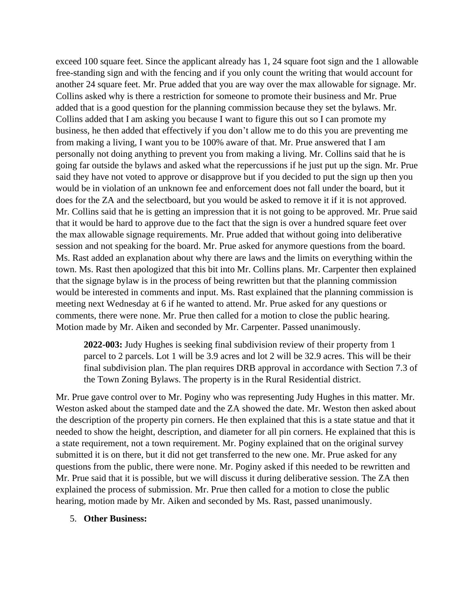exceed 100 square feet. Since the applicant already has 1, 24 square foot sign and the 1 allowable free-standing sign and with the fencing and if you only count the writing that would account for another 24 square feet. Mr. Prue added that you are way over the max allowable for signage. Mr. Collins asked why is there a restriction for someone to promote their business and Mr. Prue added that is a good question for the planning commission because they set the bylaws. Mr. Collins added that I am asking you because I want to figure this out so I can promote my business, he then added that effectively if you don't allow me to do this you are preventing me from making a living, I want you to be 100% aware of that. Mr. Prue answered that I am personally not doing anything to prevent you from making a living. Mr. Collins said that he is going far outside the bylaws and asked what the repercussions if he just put up the sign. Mr. Prue said they have not voted to approve or disapprove but if you decided to put the sign up then you would be in violation of an unknown fee and enforcement does not fall under the board, but it does for the ZA and the selectboard, but you would be asked to remove it if it is not approved. Mr. Collins said that he is getting an impression that it is not going to be approved. Mr. Prue said that it would be hard to approve due to the fact that the sign is over a hundred square feet over the max allowable signage requirements. Mr. Prue added that without going into deliberative session and not speaking for the board. Mr. Prue asked for anymore questions from the board. Ms. Rast added an explanation about why there are laws and the limits on everything within the town. Ms. Rast then apologized that this bit into Mr. Collins plans. Mr. Carpenter then explained that the signage bylaw is in the process of being rewritten but that the planning commission would be interested in comments and input. Ms. Rast explained that the planning commission is meeting next Wednesday at 6 if he wanted to attend. Mr. Prue asked for any questions or comments, there were none. Mr. Prue then called for a motion to close the public hearing. Motion made by Mr. Aiken and seconded by Mr. Carpenter. Passed unanimously.

**2022-003:** Judy Hughes is seeking final subdivision review of their property from 1 parcel to 2 parcels. Lot 1 will be 3.9 acres and lot 2 will be 32.9 acres. This will be their final subdivision plan. The plan requires DRB approval in accordance with Section 7.3 of the Town Zoning Bylaws. The property is in the Rural Residential district.

Mr. Prue gave control over to Mr. Poginy who was representing Judy Hughes in this matter. Mr. Weston asked about the stamped date and the ZA showed the date. Mr. Weston then asked about the description of the property pin corners. He then explained that this is a state statue and that it needed to show the height, description, and diameter for all pin corners. He explained that this is a state requirement, not a town requirement. Mr. Poginy explained that on the original survey submitted it is on there, but it did not get transferred to the new one. Mr. Prue asked for any questions from the public, there were none. Mr. Poginy asked if this needed to be rewritten and Mr. Prue said that it is possible, but we will discuss it during deliberative session. The ZA then explained the process of submission. Mr. Prue then called for a motion to close the public hearing, motion made by Mr. Aiken and seconded by Ms. Rast, passed unanimously.

## 5. **Other Business:**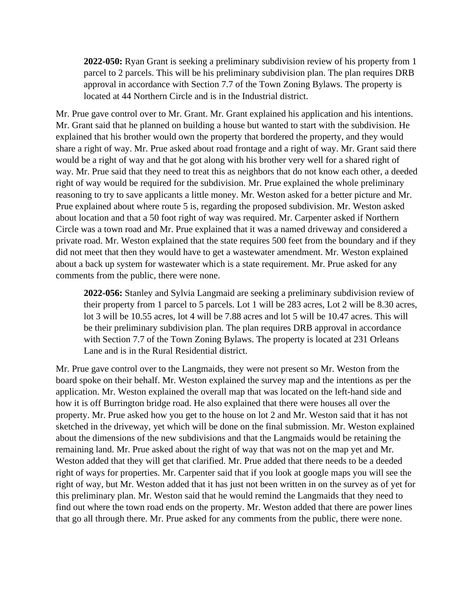**2022-050:** Ryan Grant is seeking a preliminary subdivision review of his property from 1 parcel to 2 parcels. This will be his preliminary subdivision plan. The plan requires DRB approval in accordance with Section 7.7 of the Town Zoning Bylaws. The property is located at 44 Northern Circle and is in the Industrial district.

Mr. Prue gave control over to Mr. Grant. Mr. Grant explained his application and his intentions. Mr. Grant said that he planned on building a house but wanted to start with the subdivision. He explained that his brother would own the property that bordered the property, and they would share a right of way. Mr. Prue asked about road frontage and a right of way. Mr. Grant said there would be a right of way and that he got along with his brother very well for a shared right of way. Mr. Prue said that they need to treat this as neighbors that do not know each other, a deeded right of way would be required for the subdivision. Mr. Prue explained the whole preliminary reasoning to try to save applicants a little money. Mr. Weston asked for a better picture and Mr. Prue explained about where route 5 is, regarding the proposed subdivision. Mr. Weston asked about location and that a 50 foot right of way was required. Mr. Carpenter asked if Northern Circle was a town road and Mr. Prue explained that it was a named driveway and considered a private road. Mr. Weston explained that the state requires 500 feet from the boundary and if they did not meet that then they would have to get a wastewater amendment. Mr. Weston explained about a back up system for wastewater which is a state requirement. Mr. Prue asked for any comments from the public, there were none.

**2022-056:** Stanley and Sylvia Langmaid are seeking a preliminary subdivision review of their property from 1 parcel to 5 parcels. Lot 1 will be 283 acres, Lot 2 will be 8.30 acres, lot 3 will be 10.55 acres, lot 4 will be 7.88 acres and lot 5 will be 10.47 acres. This will be their preliminary subdivision plan. The plan requires DRB approval in accordance with Section 7.7 of the Town Zoning Bylaws. The property is located at 231 Orleans Lane and is in the Rural Residential district.

Mr. Prue gave control over to the Langmaids, they were not present so Mr. Weston from the board spoke on their behalf. Mr. Weston explained the survey map and the intentions as per the application. Mr. Weston explained the overall map that was located on the left-hand side and how it is off Burrington bridge road. He also explained that there were houses all over the property. Mr. Prue asked how you get to the house on lot 2 and Mr. Weston said that it has not sketched in the driveway, yet which will be done on the final submission. Mr. Weston explained about the dimensions of the new subdivisions and that the Langmaids would be retaining the remaining land. Mr. Prue asked about the right of way that was not on the map yet and Mr. Weston added that they will get that clarified. Mr. Prue added that there needs to be a deeded right of ways for properties. Mr. Carpenter said that if you look at google maps you will see the right of way, but Mr. Weston added that it has just not been written in on the survey as of yet for this preliminary plan. Mr. Weston said that he would remind the Langmaids that they need to find out where the town road ends on the property. Mr. Weston added that there are power lines that go all through there. Mr. Prue asked for any comments from the public, there were none.